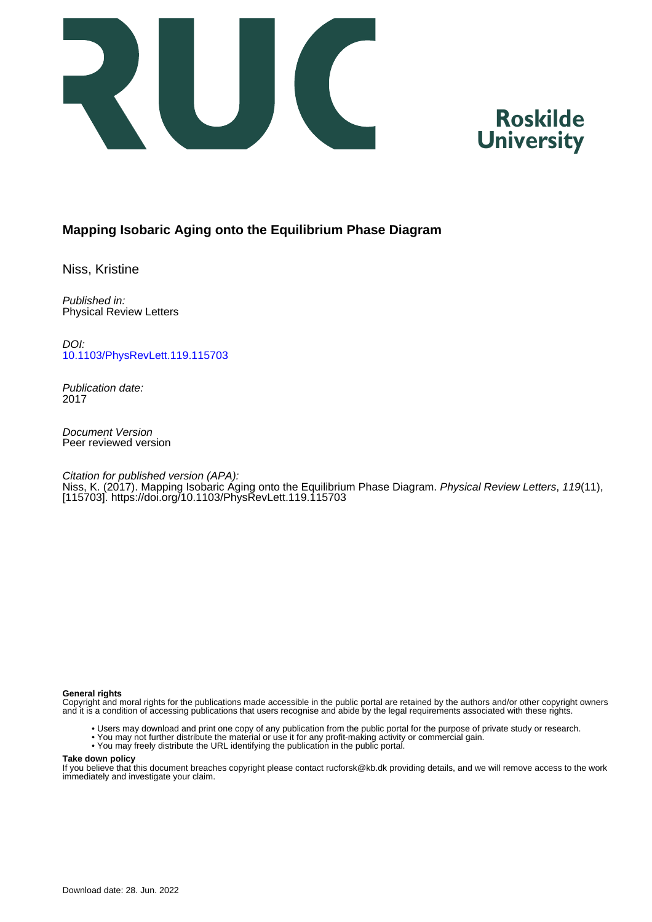



# **Mapping Isobaric Aging onto the Equilibrium Phase Diagram**

Niss, Kristine

Published in: Physical Review Letters

DOI: [10.1103/PhysRevLett.119.115703](https://doi.org/10.1103/PhysRevLett.119.115703)

Publication date: 2017

Document Version Peer reviewed version

Citation for published version (APA): Niss, K. (2017). Mapping Isobaric Aging onto the Equilibrium Phase Diagram. Physical Review Letters, 119(11), [115703].<https://doi.org/10.1103/PhysRevLett.119.115703>

### **General rights**

Copyright and moral rights for the publications made accessible in the public portal are retained by the authors and/or other copyright owners and it is a condition of accessing publications that users recognise and abide by the legal requirements associated with these rights.

- Users may download and print one copy of any publication from the public portal for the purpose of private study or research.
- You may not further distribute the material or use it for any profit-making activity or commercial gain.
- You may freely distribute the URL identifying the publication in the public portal.

#### **Take down policy**

If you believe that this document breaches copyright please contact rucforsk@kb.dk providing details, and we will remove access to the work immediately and investigate your claim.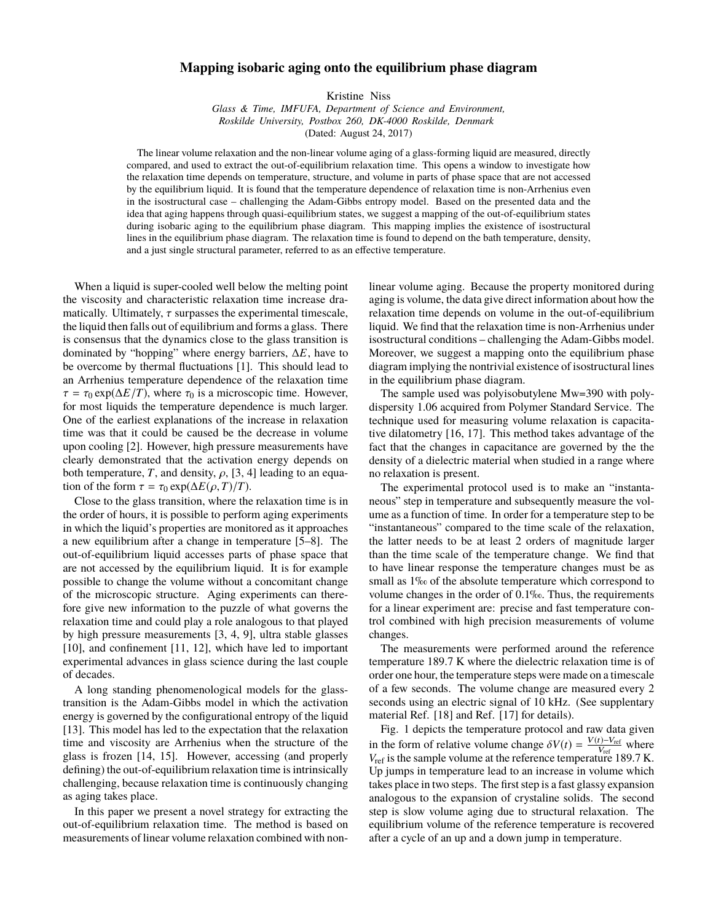## **Mapping isobaric aging onto the equilibrium phase diagram**

Kristine Niss

*Glass & Time, IMFUFA, Department of Science and Environment, Roskilde University, Postbox 260, DK-4000 Roskilde, Denmark* (Dated: August 24, 2017)

The linear volume relaxation and the non-linear volume aging of a glass-forming liquid are measured, directly compared, and used to extract the out-of-equilibrium relaxation time. This opens a window to investigate how the relaxation time depends on temperature, structure, and volume in parts of phase space that are not accessed by the equilibrium liquid. It is found that the temperature dependence of relaxation time is non-Arrhenius even in the isostructural case – challenging the Adam-Gibbs entropy model. Based on the presented data and the idea that aging happens through quasi-equilibrium states, we suggest a mapping of the out-of-equilibrium states during isobaric aging to the equilibrium phase diagram. This mapping implies the existence of isostructural lines in the equilibrium phase diagram. The relaxation time is found to depend on the bath temperature, density, and a just single structural parameter, referred to as an effective temperature.

When a liquid is super-cooled well below the melting point the viscosity and characteristic relaxation time increase dramatically. Ultimately,  $\tau$  surpasses the experimental timescale, the liquid then falls out of equilibrium and forms a glass. There is consensus that the dynamics close to the glass transition is dominated by "hopping" where energy barriers, ∆*E*, have to be overcome by thermal fluctuations [1]. This should lead to an Arrhenius temperature dependence of the relaxation time  $\tau = \tau_0 \exp(\Delta E/T)$ , where  $\tau_0$  is a microscopic time. However, for most liquids the temperature dependence is much larger. One of the earliest explanations of the increase in relaxation time was that it could be caused be the decrease in volume upon cooling [2]. However, high pressure measurements have clearly demonstrated that the activation energy depends on both temperature, *T*, and density,  $\rho$ , [3, 4] leading to an equation of the form  $\tau = \tau_0 \exp(\Delta E(\rho, T)/T)$ .

Close to the glass transition, where the relaxation time is in the order of hours, it is possible to perform aging experiments in which the liquid's properties are monitored as it approaches a new equilibrium after a change in temperature [5–8]. The out-of-equilibrium liquid accesses parts of phase space that are not accessed by the equilibrium liquid. It is for example possible to change the volume without a concomitant change of the microscopic structure. Aging experiments can therefore give new information to the puzzle of what governs the relaxation time and could play a role analogous to that played by high pressure measurements [3, 4, 9], ultra stable glasses [10], and confinement [11, 12], which have led to important experimental advances in glass science during the last couple of decades.

A long standing phenomenological models for the glasstransition is the Adam-Gibbs model in which the activation energy is governed by the configurational entropy of the liquid [13]. This model has led to the expectation that the relaxation time and viscosity are Arrhenius when the structure of the glass is frozen [14, 15]. However, accessing (and properly defining) the out-of-equilibrium relaxation time is intrinsically challenging, because relaxation time is continuously changing as aging takes place.

In this paper we present a novel strategy for extracting the out-of-equilibrium relaxation time. The method is based on measurements of linear volume relaxation combined with nonlinear volume aging. Because the property monitored during aging is volume, the data give direct information about how the relaxation time depends on volume in the out-of-equilibrium liquid. We find that the relaxation time is non-Arrhenius under isostructural conditions – challenging the Adam-Gibbs model. Moreover, we suggest a mapping onto the equilibrium phase diagram implying the nontrivial existence of isostructural lines in the equilibrium phase diagram.

The sample used was polyisobutylene Mw=390 with polydispersity 1.06 acquired from Polymer Standard Service. The technique used for measuring volume relaxation is capacitative dilatometry [16, 17]. This method takes advantage of the fact that the changes in capacitance are governed by the the density of a dielectric material when studied in a range where no relaxation is present.

The experimental protocol used is to make an "instantaneous" step in temperature and subsequently measure the volume as a function of time. In order for a temperature step to be "instantaneous" compared to the time scale of the relaxation, the latter needs to be at least 2 orders of magnitude larger than the time scale of the temperature change. We find that to have linear response the temperature changes must be as small as 1‰ of the absolute temperature which correspond to volume changes in the order of 0.1‰. Thus, the requirements for a linear experiment are: precise and fast temperature control combined with high precision measurements of volume changes.

The measurements were performed around the reference temperature 189.7 K where the dielectric relaxation time is of order one hour, the temperature steps were made on a timescale of a few seconds. The volume change are measured every 2 seconds using an electric signal of 10 kHz. (See supplentary material Ref. [18] and Ref. [17] for details).

Fig. 1 depicts the temperature protocol and raw data given in the form of relative volume change  $\delta V(t) = \frac{V(t)-V_{\text{ref}}}{V_{\text{ref}}}$ <br>*V* c is the sample volume at the reference temperature  $\frac{V - V_{ref}}{V_{ref}}$  where *V*<sub>ref</sub> is the sample volume at the reference temperature 189.7 K. Up jumps in temperature lead to an increase in volume which takes place in two steps. The first step is a fast glassy expansion analogous to the expansion of crystaline solids. The second step is slow volume aging due to structural relaxation. The equilibrium volume of the reference temperature is recovered after a cycle of an up and a down jump in temperature.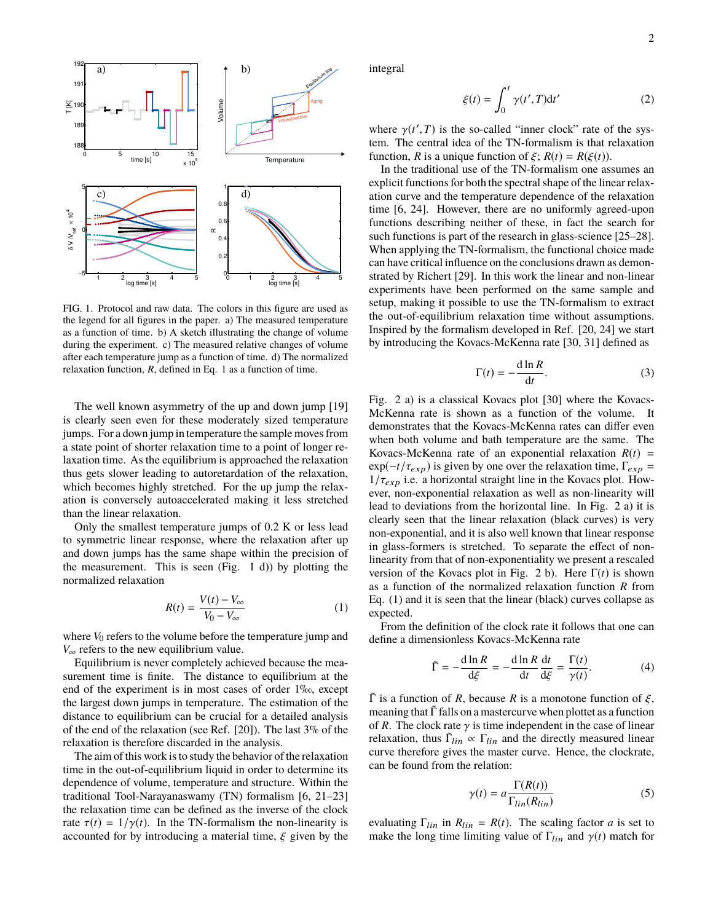

FIG. 1. Protocol and raw data. The colors in this figure are used as the legend for all figures in the paper. a) The measured temperature as a function of time. b) A sketch illustrating the change of volume during the experiment. c) The measured relative changes of volume after each temperature jump as a function of time. d) The normalized relaxation function, *R*, defined in Eq. 1 as a function of time.

The well known asymmetry of the up and down jump [19] is clearly seen even for these moderately sized temperature jumps. For a down jump in temperature the sample moves from a state point of shorter relaxation time to a point of longer relaxation time. As the equilibrium is approached the relaxation thus gets slower leading to autoretardation of the relaxation, which becomes highly stretched. For the up jump the relaxation is conversely autoaccelerated making it less stretched than the linear relaxation.

Only the smallest temperature jumps of 0.2 K or less lead to symmetric linear response, where the relaxation after up and down jumps has the same shape within the precision of the measurement. This is seen  $(Fig. 1 d)$  by plotting the normalized relaxation

$$
R(t) = \frac{V(t) - V_{\infty}}{V_0 - V_{\infty}}
$$
 (1)

where  $V_0$  refers to the volume before the temperature jump and *V*∞ refers to the new equilibrium value.

Equilibrium is never completely achieved because the measurement time is finite. The distance to equilibrium at the end of the experiment is in most cases of order 1‰, except the largest down jumps in temperature. The estimation of the distance to equilibrium can be crucial for a detailed analysis of the end of the relaxation (see Ref. [20]). The last 3% of the relaxation is therefore discarded in the analysis.

The aim of this work is to study the behavior of the relaxation time in the out-of-equilibrium liquid in order to determine its dependence of volume, temperature and structure. Within the traditional Tool-Narayanaswamy (TN) formalism [6, 21–23] the relaxation time can be defined as the inverse of the clock rate  $\tau(t) = 1/\gamma(t)$ . In the TN-formalism the non-linearity is accounted for by introducing a material time,  $\xi$  given by the

integral

$$
\xi(t) = \int_0^t \gamma(t', T) dt'
$$
 (2)

where  $\gamma(t', T)$  is the so-called "inner clock" rate of the sys-<br>tem. The central idea of the TN-formalism is that relaxation tem. The central idea of the TN-formalism is that relaxation function, *R* is a unique function of  $\xi$ ;  $R(t) = R(\xi(t))$ .

In the traditional use of the TN-formalism one assumes an explicit functions for both the spectral shape of the linear relaxation curve and the temperature dependence of the relaxation time [6, 24]. However, there are no uniformly agreed-upon functions describing neither of these, in fact the search for such functions is part of the research in glass-science [25–28]. When applying the TN-formalism, the functional choice made can have critical influence on the conclusions drawn as demonstrated by Richert [29]. In this work the linear and non-linear experiments have been performed on the same sample and setup, making it possible to use the TN-formalism to extract the out-of-equilibrium relaxation time without assumptions. Inspired by the formalism developed in Ref. [20, 24] we start by introducing the Kovacs-McKenna rate [30, 31] defined as

$$
\Gamma(t) = -\frac{\mathrm{d}\ln R}{\mathrm{d}t}.\tag{3}
$$

Fig. 2 a) is a classical Kovacs plot [30] where the Kovacs-McKenna rate is shown as a function of the volume. It demonstrates that the Kovacs-McKenna rates can differ even when both volume and bath temperature are the same. The Kovacs-McKenna rate of an exponential relaxation  $R(t)$  =  $\exp(-t/\tau_{exp})$  is given by one over the relaxation time,  $\Gamma_{exp}$  =  $1/\tau_{exp}$  i.e. a horizontal straight line in the Kovacs plot. However, non-exponential relaxation as well as non-linearity will lead to deviations from the horizontal line. In Fig. 2 a) it is clearly seen that the linear relaxation (black curves) is very non-exponential, and it is also well known that linear response in glass-formers is stretched. To separate the effect of nonlinearity from that of non-exponentiality we present a rescaled version of the Kovacs plot in Fig. 2 b). Here  $\Gamma(t)$  is shown as a function of the normalized relaxation function *R* from Eq. (1) and it is seen that the linear (black) curves collapse as expected.

From the definition of the clock rate it follows that one can define a dimensionless Kovacs-McKenna rate

$$
\tilde{\Gamma} = -\frac{d \ln R}{d\xi} = -\frac{d \ln R}{dt} \frac{dt}{d\xi} = \frac{\Gamma(t)}{\gamma(t)}.
$$
 (4)

 $\tilde{\Gamma}$  is a function of *R*, because *R* is a monotone function of  $\xi$ , meaning that  $\Gamma$  falls on a mastercurve when plottet as a function of *R*. The clock rate  $\gamma$  is time independent in the case of linear relaxation, thus  $\tilde{\Gamma}_{lin} \propto \Gamma_{lin}$  and the directly measured linear curve therefore gives the master curve. Hence, the clockrate, can be found from the relation:

$$
\gamma(t) = a \frac{\Gamma(R(t))}{\Gamma_{lin}(R_{lin})} \tag{5}
$$

evaluating  $\Gamma_{lin}$  in  $R_{lin} = R(t)$ . The scaling factor *a* is set to make the long time limiting value of  $\Gamma_{lin}$  and  $\gamma(t)$  match for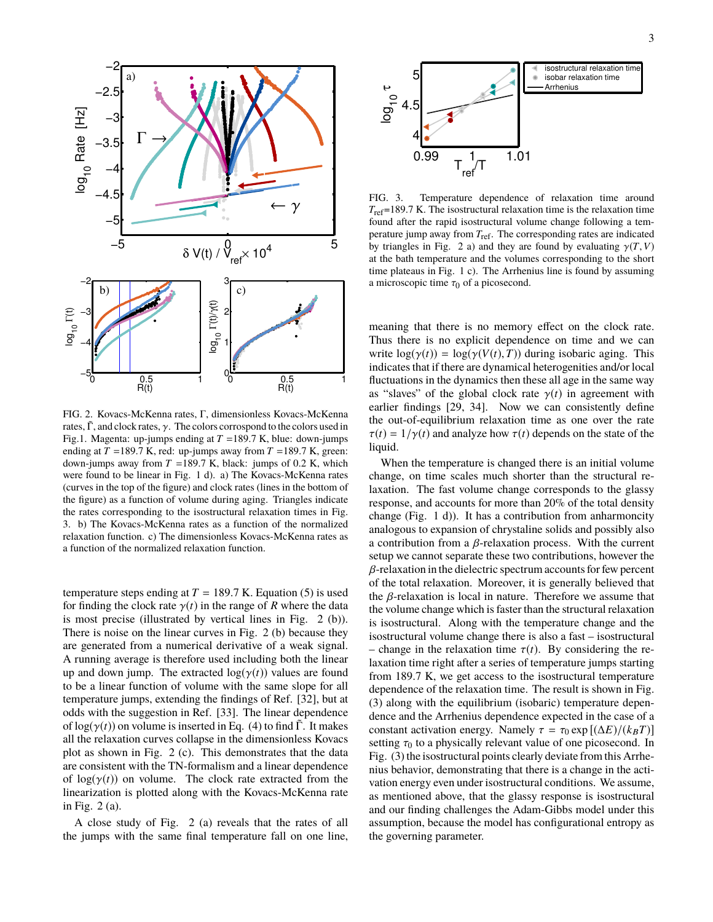

FIG. 2. Kovacs-McKenna rates, Γ, dimensionless Kovacs-McKenna rates,  $\tilde{\Gamma}$ , and clock rates,  $\gamma$ . The colors corrospond to the colors used in Fig.1. Magenta: up-jumps ending at *T* =189.7 K, blue: down-jumps ending at  $T = 189.7$  K, red: up-jumps away from  $T = 189.7$  K, green: down-jumps away from  $T = 189.7$  K, black: jumps of 0.2 K, which were found to be linear in Fig. 1 d). a) The Kovacs-McKenna rates (curves in the top of the figure) and clock rates (lines in the bottom of the figure) as a function of volume during aging. Triangles indicate the rates corresponding to the isostructural relaxation times in Fig. 3. b) The Kovacs-McKenna rates as a function of the normalized relaxation function. c) The dimensionless Kovacs-McKenna rates as a function of the normalized relaxation function.

temperature steps ending at  $T = 189.7$  K. Equation (5) is used for finding the clock rate  $\gamma(t)$  in the range of *R* where the data is most precise (illustrated by vertical lines in Fig. 2 (b)). There is noise on the linear curves in Fig. 2 (b) because they are generated from a numerical derivative of a weak signal. A running average is therefore used including both the linear up and down jump. The extracted  $log(\gamma(t))$  values are found to be a linear function of volume with the same slope for all temperature jumps, extending the findings of Ref. [32], but at odds with the suggestion in Ref. [33]. The linear dependence of  $log(\gamma(t))$  on volume is inserted in Eq. (4) to find  $\tilde{\Gamma}$ . It makes all the relaxation curves collapse in the dimensionless Kovacs plot as shown in Fig. 2 (c). This demonstrates that the data are consistent with the TN-formalism and a linear dependence of  $log(\gamma(t))$  on volume. The clock rate extracted from the linearization is plotted along with the Kovacs-McKenna rate in Fig. 2 (a).

A close study of Fig. 2 (a) reveals that the rates of all the jumps with the same final temperature fall on one line,



FIG. 3. Temperature dependence of relaxation time around *T*ref=189.7 K. The isostructural relaxation time is the relaxation time found after the rapid isostructural volume change following a temperature jump away from *T*ref. The corresponding rates are indicated by triangles in Fig. 2 a) and they are found by evaluating  $\gamma(T, V)$ at the bath temperature and the volumes corresponding to the short time plateaus in Fig. 1 c). The Arrhenius line is found by assuming a microscopic time  $\tau_0$  of a picosecond.

meaning that there is no memory effect on the clock rate. Thus there is no explicit dependence on time and we can write  $log(\gamma(t)) = log(\gamma(V(t),T))$  during isobaric aging. This indicates that if there are dynamical heterogenities and/or local fluctuations in the dynamics then these all age in the same way as "slaves" of the global clock rate  $\gamma(t)$  in agreement with earlier findings [29, 34]. Now we can consistently define the out-of-equilibrium relaxation time as one over the rate  $\tau(t) = 1/\gamma(t)$  and analyze how  $\tau(t)$  depends on the state of the liquid.

When the temperature is changed there is an initial volume change, on time scales much shorter than the structural relaxation. The fast volume change corresponds to the glassy response, and accounts for more than 20% of the total density change (Fig. 1 d)). It has a contribution from anharmoncity analogous to expansion of chrystaline solids and possibly also a contribution from a β-relaxation process. With the current setup we cannot separate these two contributions, however the  $\beta$ -relaxation in the dielectric spectrum accounts for few percent of the total relaxation. Moreover, it is generally believed that the  $\beta$ -relaxation is local in nature. Therefore we assume that the volume change which is faster than the structural relaxation is isostructural. Along with the temperature change and the isostructural volume change there is also a fast – isostructural – change in the relaxation time  $\tau(t)$ . By considering the relaxation time right after a series of temperature jumps starting from 189.7 K, we get access to the isostructural temperature dependence of the relaxation time. The result is shown in Fig. (3) along with the equilibrium (isobaric) temperature dependence and the Arrhenius dependence expected in the case of a constant activation energy. Namely  $\tau = \tau_0 \exp[(\Delta E)/(k_B T)]$ setting  $\tau_0$  to a physically relevant value of one picosecond. In Fig. (3) the isostructural points clearly deviate from this Arrhenius behavior, demonstrating that there is a change in the activation energy even under isostructural conditions. We assume, as mentioned above, that the glassy response is isostructural and our finding challenges the Adam-Gibbs model under this assumption, because the model has configurational entropy as the governing parameter.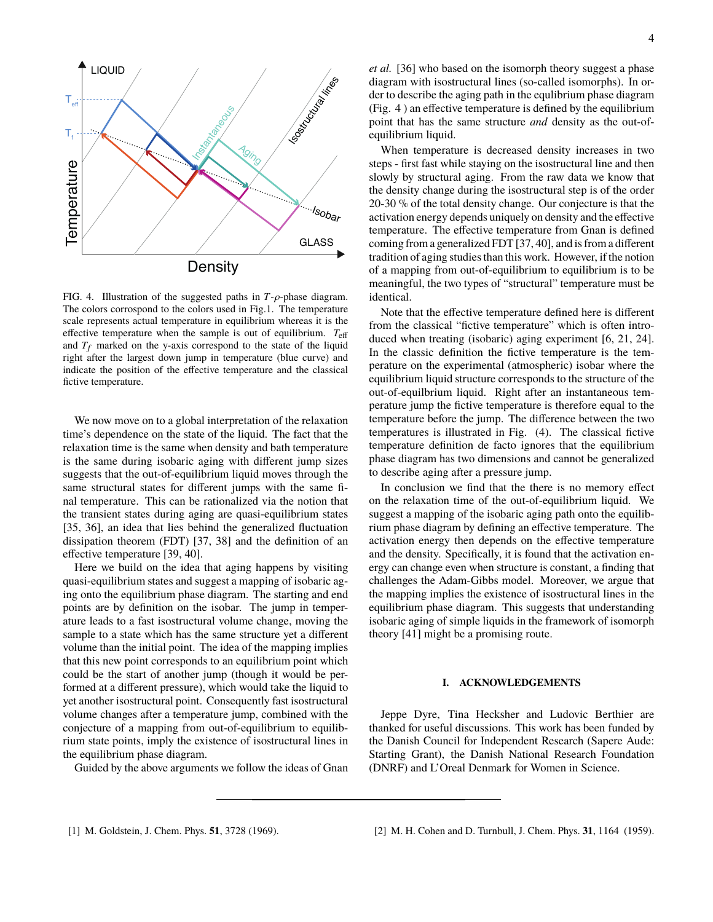

FIG. 4. Illustration of the suggested paths in *<sup>T</sup>*-ρ-phase diagram. The colors corrospond to the colors used in Fig.1. The temperature scale represents actual temperature in equilibrium whereas it is the effective temperature when the sample is out of equilibrium. *T*eff and  $T_f$  marked on the y-axis correspond to the state of the liquid right after the largest down jump in temperature (blue curve) and indicate the position of the effective temperature and the classical fictive temperature.

We now move on to a global interpretation of the relaxation time's dependence on the state of the liquid. The fact that the relaxation time is the same when density and bath temperature is the same during isobaric aging with different jump sizes suggests that the out-of-equilibrium liquid moves through the same structural states for different jumps with the same final temperature. This can be rationalized via the notion that the transient states during aging are quasi-equilibrium states [35, 36], an idea that lies behind the generalized fluctuation dissipation theorem (FDT) [37, 38] and the definition of an effective temperature [39, 40].

Here we build on the idea that aging happens by visiting quasi-equilibrium states and suggest a mapping of isobaric aging onto the equilibrium phase diagram. The starting and end points are by definition on the isobar. The jump in temperature leads to a fast isostructural volume change, moving the sample to a state which has the same structure yet a different volume than the initial point. The idea of the mapping implies that this new point corresponds to an equilibrium point which could be the start of another jump (though it would be performed at a different pressure), which would take the liquid to yet another isostructural point. Consequently fast isostructural volume changes after a temperature jump, combined with the conjecture of a mapping from out-of-equilibrium to equilibrium state points, imply the existence of isostructural lines in the equilibrium phase diagram.

Guided by the above arguments we follow the ideas of Gnan

*et al.* [36] who based on the isomorph theory suggest a phase diagram with isostructural lines (so-called isomorphs). In order to describe the aging path in the equlibrium phase diagram (Fig. 4 ) an effective temperature is defined by the equilibrium point that has the same structure *and* density as the out-ofequilibrium liquid.

When temperature is decreased density increases in two steps - first fast while staying on the isostructural line and then slowly by structural aging. From the raw data we know that the density change during the isostructural step is of the order 20-30 % of the total density change. Our conjecture is that the activation energy depends uniquely on density and the effective temperature. The effective temperature from Gnan is defined coming from a generalized FDT [37, 40], and is from a different tradition of aging studies than this work. However, if the notion of a mapping from out-of-equilibrium to equilibrium is to be meaningful, the two types of "structural" temperature must be identical.

Note that the effective temperature defined here is different from the classical "fictive temperature" which is often introduced when treating (isobaric) aging experiment [6, 21, 24]. In the classic definition the fictive temperature is the temperature on the experimental (atmospheric) isobar where the equilibrium liquid structure corresponds to the structure of the out-of-equilbrium liquid. Right after an instantaneous temperature jump the fictive temperature is therefore equal to the temperature before the jump. The difference between the two temperatures is illustrated in Fig. (4). The classical fictive temperature definition de facto ignores that the equilibrium phase diagram has two dimensions and cannot be generalized to describe aging after a pressure jump.

In conclusion we find that the there is no memory effect on the relaxation time of the out-of-equilibrium liquid. We suggest a mapping of the isobaric aging path onto the equilibrium phase diagram by defining an effective temperature. The activation energy then depends on the effective temperature and the density. Specifically, it is found that the activation energy can change even when structure is constant, a finding that challenges the Adam-Gibbs model. Moreover, we argue that the mapping implies the existence of isostructural lines in the equilibrium phase diagram. This suggests that understanding isobaric aging of simple liquids in the framework of isomorph theory [41] might be a promising route.

#### **I. ACKNOWLEDGEMENTS**

Jeppe Dyre, Tina Hecksher and Ludovic Berthier are thanked for useful discussions. This work has been funded by the Danish Council for Independent Research (Sapere Aude: Starting Grant), the Danish National Research Foundation (DNRF) and L'Oreal Denmark for Women in Science.

<sup>[1]</sup> M. Goldstein, J. Chem. Phys. **51**, 3728 (1969). [2] M. H. Cohen and D. Turnbull, J. Chem. Phys. **31**, 1164 (1959).